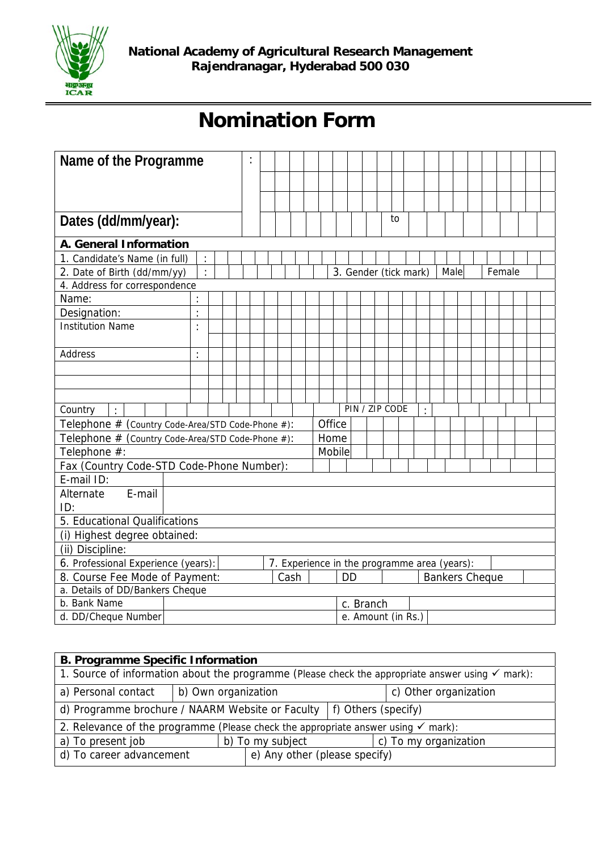

## **Nomination Form**

| Name of the Programme                                                 | $\ddot{\cdot}$ |  |      |        |                    |                                              |                       |  |  |    |  |                |      |                       |        |  |  |
|-----------------------------------------------------------------------|----------------|--|------|--------|--------------------|----------------------------------------------|-----------------------|--|--|----|--|----------------|------|-----------------------|--------|--|--|
|                                                                       |                |  |      |        |                    |                                              |                       |  |  |    |  |                |      |                       |        |  |  |
|                                                                       |                |  |      |        |                    |                                              |                       |  |  |    |  |                |      |                       |        |  |  |
|                                                                       |                |  |      |        |                    |                                              |                       |  |  | to |  |                |      |                       |        |  |  |
| Dates (dd/mm/year):                                                   |                |  |      |        |                    |                                              |                       |  |  |    |  |                |      |                       |        |  |  |
| A. General Information                                                |                |  |      |        |                    |                                              |                       |  |  |    |  |                |      |                       |        |  |  |
| 1. Candidate's Name (in full)<br>$\ddot{\cdot}$                       |                |  |      |        |                    |                                              |                       |  |  |    |  |                |      |                       |        |  |  |
| $\ddot{\cdot}$<br>2. Date of Birth (dd/mm/yy)                         |                |  |      |        |                    |                                              | 3. Gender (tick mark) |  |  |    |  |                | Male |                       | Female |  |  |
| 4. Address for correspondence                                         |                |  |      |        |                    |                                              |                       |  |  |    |  |                |      |                       |        |  |  |
| Name:                                                                 |                |  |      |        |                    |                                              |                       |  |  |    |  |                |      |                       |        |  |  |
| $\ddot{\cdot}$<br>Designation:                                        |                |  |      |        |                    |                                              |                       |  |  |    |  |                |      |                       |        |  |  |
| <b>Institution Name</b><br>$\ddot{\phantom{a}}$                       |                |  |      |        |                    |                                              |                       |  |  |    |  |                |      |                       |        |  |  |
|                                                                       |                |  |      |        |                    |                                              |                       |  |  |    |  |                |      |                       |        |  |  |
| Address<br>$\ddot{\cdot}$                                             |                |  |      |        |                    |                                              |                       |  |  |    |  |                |      |                       |        |  |  |
|                                                                       |                |  |      |        |                    |                                              |                       |  |  |    |  |                |      |                       |        |  |  |
|                                                                       |                |  |      |        |                    |                                              |                       |  |  |    |  |                |      |                       |        |  |  |
|                                                                       |                |  |      |        |                    |                                              |                       |  |  |    |  |                |      |                       |        |  |  |
| Country                                                               |                |  |      |        |                    |                                              | PIN / ZIP CODE        |  |  |    |  | $\ddot{\cdot}$ |      |                       |        |  |  |
| Telephone # (Country Code-Area/STD Code-Phone #):                     |                |  |      |        |                    | Office                                       |                       |  |  |    |  |                |      |                       |        |  |  |
| Telephone # (Country Code-Area/STD Code-Phone #):                     |                |  |      |        |                    | Home                                         |                       |  |  |    |  |                |      |                       |        |  |  |
| Telephone #:                                                          |                |  |      | Mobile |                    |                                              |                       |  |  |    |  |                |      |                       |        |  |  |
| Fax (Country Code-STD Code-Phone Number):                             |                |  |      |        |                    |                                              |                       |  |  |    |  |                |      |                       |        |  |  |
| E-mail ID:                                                            |                |  |      |        |                    |                                              |                       |  |  |    |  |                |      |                       |        |  |  |
| E-mail<br>Alternate                                                   |                |  |      |        |                    |                                              |                       |  |  |    |  |                |      |                       |        |  |  |
| ID:                                                                   |                |  |      |        |                    |                                              |                       |  |  |    |  |                |      |                       |        |  |  |
| 5. Educational Qualifications                                         |                |  |      |        |                    |                                              |                       |  |  |    |  |                |      |                       |        |  |  |
| (i) Highest degree obtained:                                          |                |  |      |        |                    |                                              |                       |  |  |    |  |                |      |                       |        |  |  |
| (ii) Discipline:                                                      |                |  |      |        |                    |                                              |                       |  |  |    |  |                |      |                       |        |  |  |
| 6. Professional Experience (years):<br>8. Course Fee Mode of Payment: |                |  | Cash |        |                    | 7. Experience in the programme area (years): | <b>DD</b>             |  |  |    |  |                |      | <b>Bankers Cheque</b> |        |  |  |
| a. Details of DD/Bankers Cheque                                       |                |  |      |        |                    |                                              |                       |  |  |    |  |                |      |                       |        |  |  |
| b. Bank Name                                                          |                |  |      |        |                    |                                              | c. Branch             |  |  |    |  |                |      |                       |        |  |  |
| d. DD/Cheque Number                                                   |                |  |      |        | e. Amount (in Rs.) |                                              |                       |  |  |    |  |                |      |                       |        |  |  |

| <b>B. Programme Specific Information</b>                                                                    |                       |                               |                       |  |  |  |  |
|-------------------------------------------------------------------------------------------------------------|-----------------------|-------------------------------|-----------------------|--|--|--|--|
| 1. Source of information about the programme (Please check the appropriate answer using $\checkmark$ mark): |                       |                               |                       |  |  |  |  |
| b) Own organization<br>a) Personal contact                                                                  | c) Other organization |                               |                       |  |  |  |  |
| d) Programme brochure / NAARM Website or Faculty $  f$ Others (specify)                                     |                       |                               |                       |  |  |  |  |
| 2. Relevance of the programme (Please check the appropriate answer using $\checkmark$ mark):                |                       |                               |                       |  |  |  |  |
| a) To present job                                                                                           | b) To my subject      |                               | c) To my organization |  |  |  |  |
| d) To career advancement                                                                                    |                       | e) Any other (please specify) |                       |  |  |  |  |